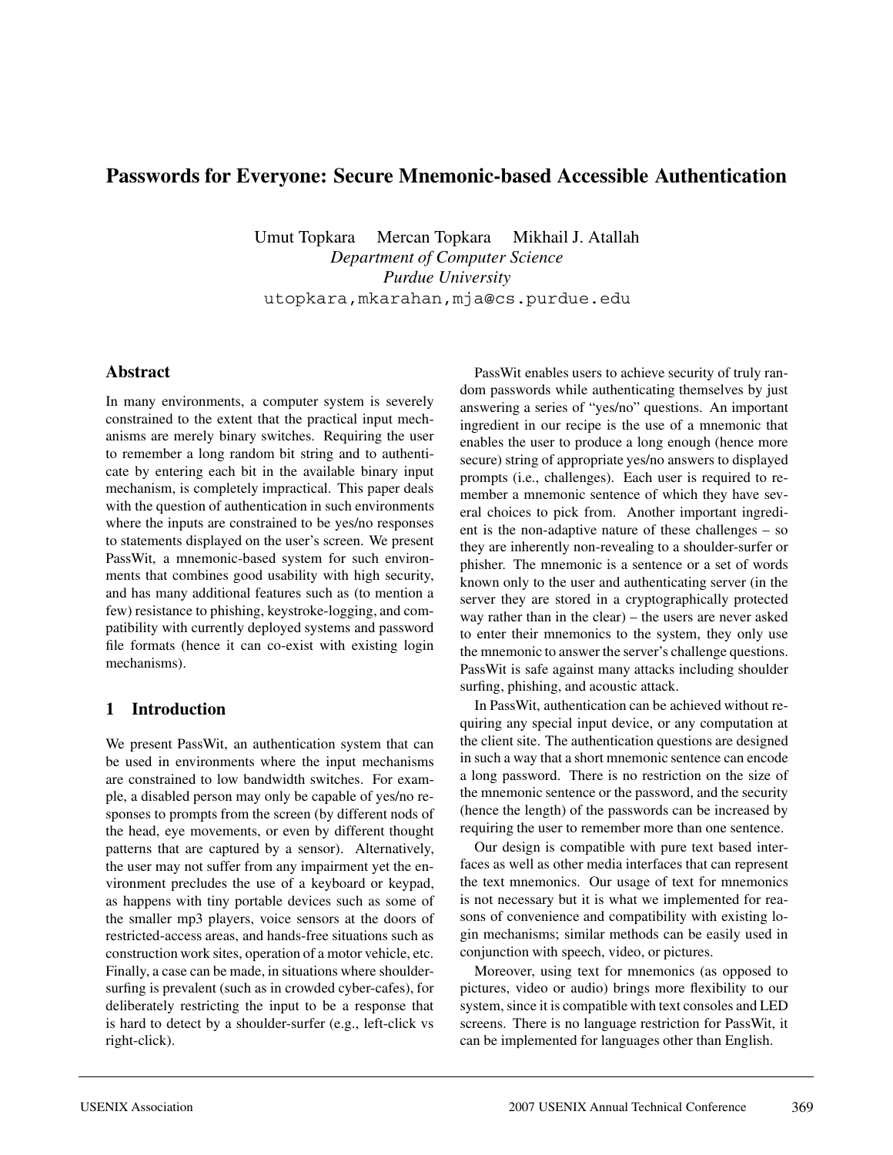# **Passwords for Everyone: Secure Mnemonic-based Accessible Authentication**

Umut Topkara Mercan Topkara Mikhail J. Atallah *Department of Computer Science Purdue University* utopkara,mkarahan,mja@cs.purdue.edu

## **Abstract**

In many environments, a computer system is severely constrained to the extent that the practical input mechanisms are merely binary switches. Requiring the user to remember a long random bit string and to authenticate by entering each bit in the available binary input mechanism, is completely impractical. This paper deals with the question of authentication in such environments where the inputs are constrained to be yes/no responses to statements displayed on the user's screen. We present PassWit, a mnemonic-based system for such environments that combines good usability with high security, and has many additional features such as (to mention a few) resistance to phishing, keystroke-logging, and compatibility with currently deployed systems and password file formats (hence it can co-exist with existing login mechanisms).

# **1 Introduction**

We present PassWit, an authentication system that can be used in environments where the input mechanisms are constrained to low bandwidth switches. For example, a disabled person may only be capable of yes/no responses to prompts from the screen (by different nods of the head, eye movements, or even by different thought patterns that are captured by a sensor). Alternatively, the user may not suffer from any impairment yet the environment precludes the use of a keyboard or keypad, as happens with tiny portable devices such as some of the smaller mp3 players, voice sensors at the doors of restricted-access areas, and hands-free situations such as construction work sites, operation of a motor vehicle, etc. Finally, a case can be made, in situations where shouldersurfing is prevalent (such as in crowded cyber-cafes), for deliberately restricting the input to be a response that is hard to detect by a shoulder-surfer (e.g., left-click vs right-click).

PassWit enables users to achieve security of truly random passwords while authenticating themselves by just answering a series of "yes/no" questions. An important ingredient in our recipe is the use of a mnemonic that enables the user to produce a long enough (hence more secure) string of appropriate yes/no answers to displayed prompts (i.e., challenges). Each user is required to remember a mnemonic sentence of which they have several choices to pick from. Another important ingredient is the non-adaptive nature of these challenges – so they are inherently non-revealing to a shoulder-surfer or phisher. The mnemonic is a sentence or a set of words known only to the user and authenticating server (in the server they are stored in a cryptographically protected way rather than in the clear) – the users are never asked to enter their mnemonics to the system, they only use the mnemonic to answer the server's challenge questions. PassWit is safe against many attacks including shoulder surfing, phishing, and acoustic attack.

In PassWit, authentication can be achieved without requiring any special input device, or any computation at the client site. The authentication questions are designed in such a way that a short mnemonic sentence can encode a long password. There is no restriction on the size of the mnemonic sentence or the password, and the security (hence the length) of the passwords can be increased by requiring the user to remember more than one sentence.

Our design is compatible with pure text based interfaces as well as other media interfaces that can represent the text mnemonics. Our usage of text for mnemonics is not necessary but it is what we implemented for reasons of convenience and compatibility with existing login mechanisms; similar methods can be easily used in conjunction with speech, video, or pictures.

Moreover, using text for mnemonics (as opposed to pictures, video or audio) brings more flexibility to our system, since it is compatible with text consoles and LED screens. There is no language restriction for PassWit, it can be implemented for languages other than English.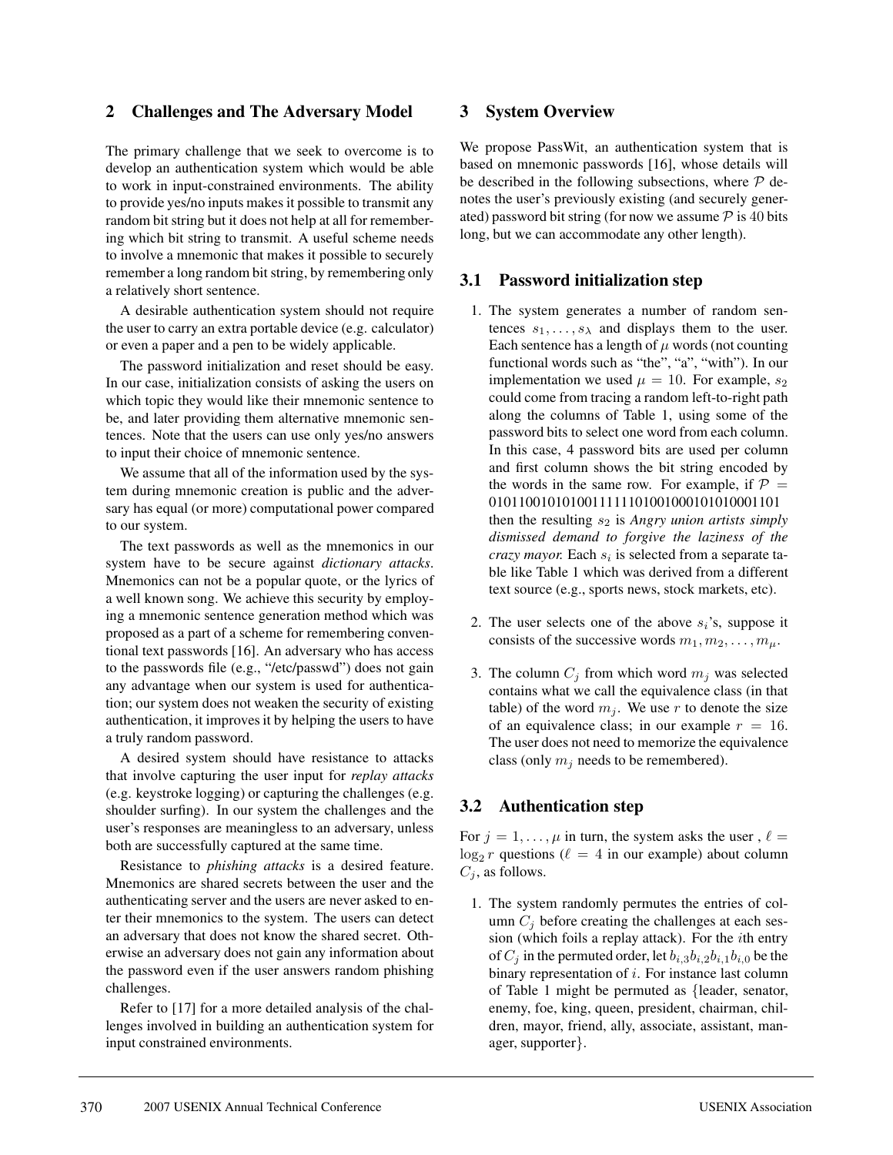## **2 Challenges and The Adversary Model**

The primary challenge that we seek to overcome is to develop an authentication system which would be able to work in input-constrained environments. The ability to provide yes/no inputs makes it possible to transmit any random bit string but it does not help at all for remembering which bit string to transmit. A useful scheme needs to involve a mnemonic that makes it possible to securely remember a long random bit string, by remembering only a relatively short sentence.

A desirable authentication system should not require the user to carry an extra portable device (e.g. calculator) or even a paper and a pen to be widely applicable.

The password initialization and reset should be easy. In our case, initialization consists of asking the users on which topic they would like their mnemonic sentence to be, and later providing them alternative mnemonic sentences. Note that the users can use only yes/no answers to input their choice of mnemonic sentence.

We assume that all of the information used by the system during mnemonic creation is public and the adversary has equal (or more) computational power compared to our system.

The text passwords as well as the mnemonics in our system have to be secure against *dictionary attacks*. Mnemonics can not be a popular quote, or the lyrics of a well known song. We achieve this security by employing a mnemonic sentence generation method which was proposed as a part of a scheme for remembering conventional text passwords [16]. An adversary who has access to the passwords file (e.g., "/etc/passwd") does not gain any advantage when our system is used for authentication; our system does not weaken the security of existing authentication, it improves it by helping the users to have a truly random password.

A desired system should have resistance to attacks that involve capturing the user input for *replay attacks* (e.g. keystroke logging) or capturing the challenges (e.g. shoulder surfing). In our system the challenges and the user's responses are meaningless to an adversary, unless both are successfully captured at the same time.

Resistance to *phishing attacks* is a desired feature. Mnemonics are shared secrets between the user and the authenticating server and the users are never asked to enter their mnemonics to the system. The users can detect an adversary that does not know the shared secret. Otherwise an adversary does not gain any information about the password even if the user answers random phishing challenges.

Refer to [17] for a more detailed analysis of the challenges involved in building an authentication system for input constrained environments.

#### **3 System Overview**

We propose PassWit, an authentication system that is based on mnemonic passwords [16], whose details will be described in the following subsections, where  $P$  denotes the user's previously existing (and securely generated) password bit string (for now we assume  $P$  is 40 bits long, but we can accommodate any other length).

## **3.1 Password initialization step**

- 1. The system generates a number of random sentences  $s_1, \ldots, s_\lambda$  and displays them to the user. Each sentence has a length of  $\mu$  words (not counting functional words such as "the", "a", "with"). In our implementation we used  $\mu = 10$ . For example,  $s_2$ could come from tracing a random left-to-right path along the columns of Table 1, using some of the password bits to select one word from each column. In this case, 4 password bits are used per column and first column shows the bit string encoded by the words in the same row. For example, if  $\mathcal{P} =$ 0101100101010011111101001000101010001101 then the resulting  $s_2$  is *Angry union artists simply dismissed demand to forgive the laziness of the crazy mayor.* Each  $s_i$  is selected from a separate table like Table 1 which was derived from a different text source (e.g., sports news, stock markets, etc).
- 2. The user selects one of the above  $s_i$ 's, suppose it consists of the successive words  $m_1, m_2, \ldots, m_\mu$ .
- 3. The column  $C_j$  from which word  $m_j$  was selected contains what we call the equivalence class (in that table) of the word  $m_j$ . We use r to denote the size of an equivalence class; in our example  $r = 16$ . The user does not need to memorize the equivalence class (only  $m_j$  needs to be remembered).

## **3.2 Authentication step**

For  $j = 1, \ldots, \mu$  in turn, the system asks the user,  $\ell =$  $\log_2 r$  questions ( $\ell = 4$  in our example) about column  $C_i$ , as follows.

1. The system randomly permutes the entries of column  $C_i$  before creating the challenges at each session (which foils a replay attack). For the ith entry of  $C_i$  in the permuted order, let  $b_{i,3}b_{i,2}b_{i,1}b_{i,0}$  be the binary representation of i. For instance last column of Table 1 might be permuted as {leader, senator, enemy, foe, king, queen, president, chairman, children, mayor, friend, ally, associate, assistant, manager, supporter}.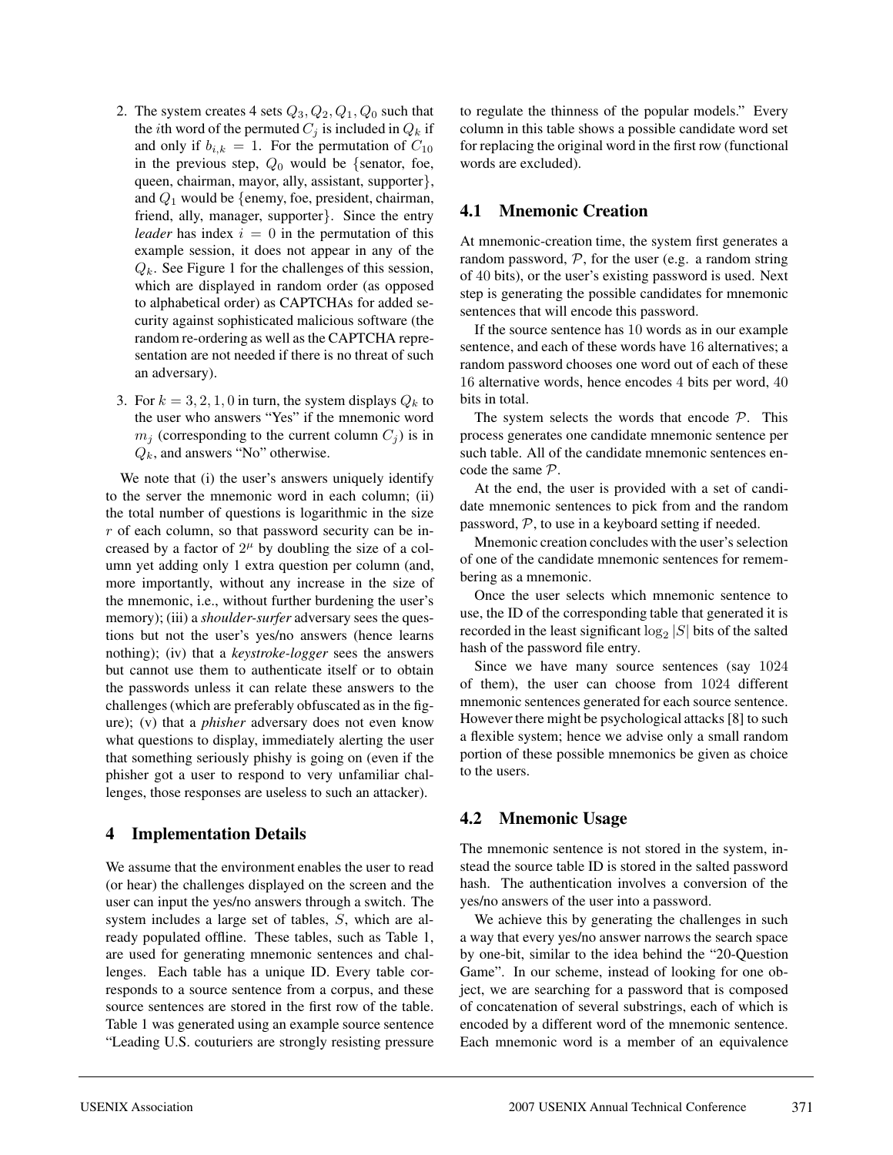- 2. The system creates 4 sets  $Q_3, Q_2, Q_1, Q_0$  such that the *i*th word of the permuted  $C_i$  is included in  $Q_k$  if and only if  $b_{i,k} = 1$ . For the permutation of  $C_{10}$ in the previous step,  $Q_0$  would be {senator, foe, queen, chairman, mayor, ally, assistant, supporter}, and  $Q_1$  would be {enemy, foe, president, chairman, friend, ally, manager, supporter}. Since the entry *leader* has index  $i = 0$  in the permutation of this example session, it does not appear in any of the  $Q_k$ . See Figure 1 for the challenges of this session, which are displayed in random order (as opposed to alphabetical order) as CAPTCHAs for added security against sophisticated malicious software (the random re-ordering as well as the CAPTCHA representation are not needed if there is no threat of such an adversary).
- 3. For  $k = 3, 2, 1, 0$  in turn, the system displays  $Q_k$  to the user who answers "Yes" if the mnemonic word  $m_i$  (corresponding to the current column  $C_i$ ) is in  $Q_k$ , and answers "No" otherwise.

We note that (i) the user's answers uniquely identify to the server the mnemonic word in each column; (ii) the total number of questions is logarithmic in the size r of each column, so that password security can be increased by a factor of  $2^{\mu}$  by doubling the size of a column yet adding only 1 extra question per column (and, more importantly, without any increase in the size of the mnemonic, i.e., without further burdening the user's memory); (iii) a *shoulder-surfer* adversary sees the questions but not the user's yes/no answers (hence learns nothing); (iv) that a *keystroke-logger* sees the answers but cannot use them to authenticate itself or to obtain the passwords unless it can relate these answers to the challenges (which are preferably obfuscated as in the figure); (v) that a *phisher* adversary does not even know what questions to display, immediately alerting the user that something seriously phishy is going on (even if the phisher got a user to respond to very unfamiliar challenges, those responses are useless to such an attacker).

## **4 Implementation Details**

We assume that the environment enables the user to read (or hear) the challenges displayed on the screen and the user can input the yes/no answers through a switch. The system includes a large set of tables, S, which are already populated offline. These tables, such as Table 1, are used for generating mnemonic sentences and challenges. Each table has a unique ID. Every table corresponds to a source sentence from a corpus, and these source sentences are stored in the first row of the table. Table 1 was generated using an example source sentence "Leading U.S. couturiers are strongly resisting pressure

to regulate the thinness of the popular models." Every column in this table shows a possible candidate word set for replacing the original word in the first row (functional words are excluded).

## **4.1 Mnemonic Creation**

At mnemonic-creation time, the system first generates a random password,  $P$ , for the user (e.g. a random string of 40 bits), or the user's existing password is used. Next step is generating the possible candidates for mnemonic sentences that will encode this password.

If the source sentence has 10 words as in our example sentence, and each of these words have 16 alternatives; a random password chooses one word out of each of these 16 alternative words, hence encodes 4 bits per word, 40 bits in total.

The system selects the words that encode  $P$ . This process generates one candidate mnemonic sentence per such table. All of the candidate mnemonic sentences encode the same P.

At the end, the user is provided with a set of candidate mnemonic sentences to pick from and the random password,  $P$ , to use in a keyboard setting if needed.

Mnemonic creation concludes with the user's selection of one of the candidate mnemonic sentences for remembering as a mnemonic.

Once the user selects which mnemonic sentence to use, the ID of the corresponding table that generated it is recorded in the least significant  $log_2 |S|$  bits of the salted hash of the password file entry.

Since we have many source sentences (say 1024 of them), the user can choose from 1024 different mnemonic sentences generated for each source sentence. However there might be psychological attacks [8] to such a flexible system; hence we advise only a small random portion of these possible mnemonics be given as choice to the users.

# **4.2 Mnemonic Usage**

The mnemonic sentence is not stored in the system, instead the source table ID is stored in the salted password hash. The authentication involves a conversion of the yes/no answers of the user into a password.

We achieve this by generating the challenges in such a way that every yes/no answer narrows the search space by one-bit, similar to the idea behind the "20-Question Game". In our scheme, instead of looking for one object, we are searching for a password that is composed of concatenation of several substrings, each of which is encoded by a different word of the mnemonic sentence. Each mnemonic word is a member of an equivalence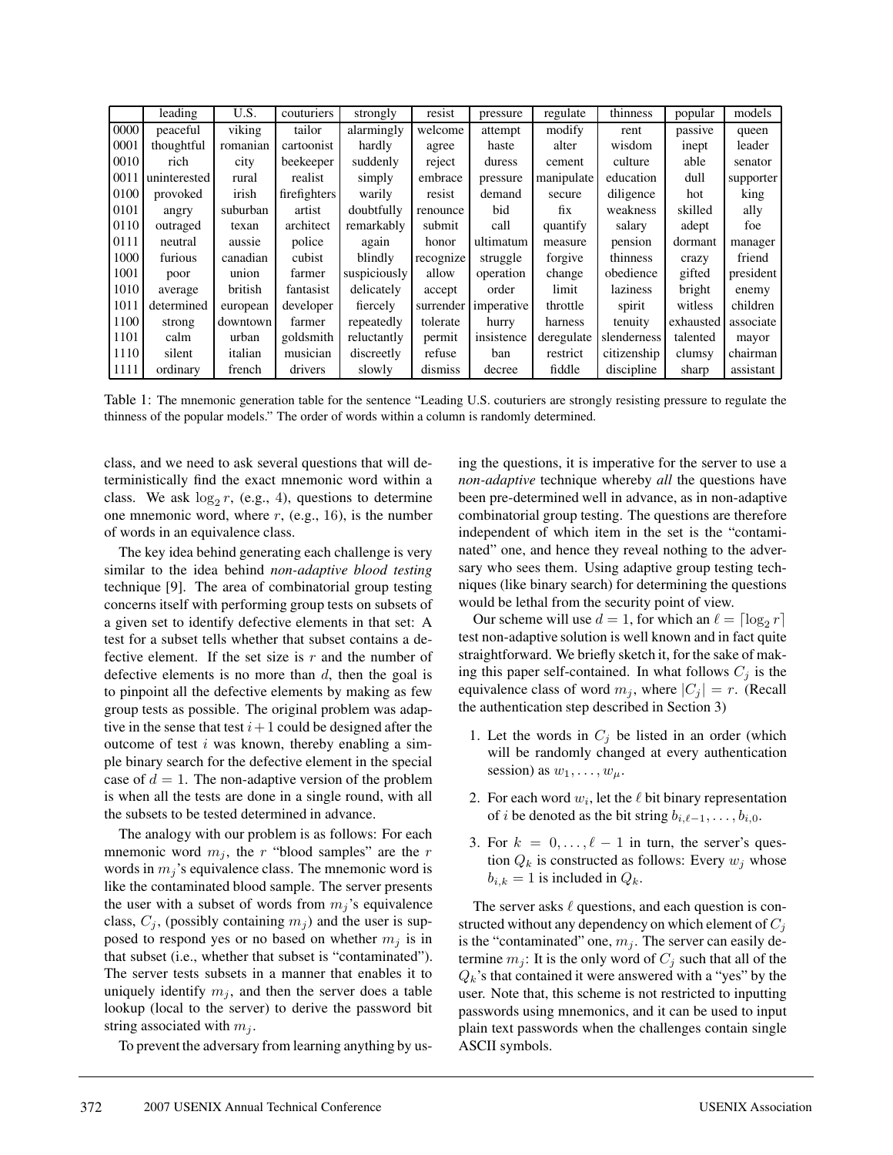|      | leading      | U.S.     | couturiers   | strongly     | resist    | pressure   | regulate   | thinness    | popular   | models    |
|------|--------------|----------|--------------|--------------|-----------|------------|------------|-------------|-----------|-----------|
| 0000 | peaceful     | viking   | tailor       | alarmingly   | welcome   | attempt    | modify     | rent        | passive   | queen     |
| 0001 | thoughtful   | romanian | cartoonist   | hardly       | agree     | haste      | alter      | wisdom      | inept     | leader    |
| 0010 | rich         | city     | beekeeper    | suddenly     | reject    | duress     | cement     | culture     | able      | senator   |
| 0011 | uninterested | rural    | realist      | simply       | embrace   | pressure   | manipulate | education   | dull      | supporter |
| 0100 | provoked     | irish    | firefighters | warily       | resist    | demand     | secure     | diligence   | hot       | king      |
| 0101 | angry        | suburban | artist       | doubtfully   | renounce  | bid        | fix        | weakness    | skilled   | ally      |
| 0110 | outraged     | texan    | architect    | remarkably   | submit    | call       | quantify   | salary      | adept     | foe       |
| 0111 | neutral      | aussie   | police       | again        | honor     | ultimatum  | measure    | pension     | dormant   | manager   |
| 1000 | furious      | canadian | cubist       | blindly      | recognize | struggle   | forgive    | thinness    | crazy     | friend    |
| 1001 | poor         | union    | farmer       | suspiciously | allow     | operation  | change     | obedience   | gifted    | president |
| 1010 | average      | british  | fantasist    | delicately   | accept    | order      | limit      | laziness    | bright    | enemy     |
| 1011 | determined   | european | developer    | fiercely     | surrender | imperative | throttle   | spirit      | witless   | children  |
| 1100 | strong       | downtown | farmer       | repeatedly   | tolerate  | hurry      | harness    | tenuity     | exhausted | associate |
| 1101 | calm         | urban    | goldsmith    | reluctantly  | permit    | insistence | deregulate | slenderness | talented  | mayor     |
| 1110 | silent       | italian  | musician     | discreetly   | refuse    | ban        | restrict   | citizenship | clumsy    | chairman  |
| 1111 | ordinary     | french   | drivers      | slowly       | dismiss   | decree     | fiddle     | discipline  | sharp     | assistant |

Table 1: The mnemonic generation table for the sentence "Leading U.S. couturiers are strongly resisting pressure to regulate the thinness of the popular models." The order of words within a column is randomly determined.

class, and we need to ask several questions that will deterministically find the exact mnemonic word within a class. We ask  $\log_2 r$ , (e.g., 4), questions to determine one mnemonic word, where  $r$ , (e.g., 16), is the number of words in an equivalence class.

The key idea behind generating each challenge is very similar to the idea behind *non-adaptive blood testing* technique [9]. The area of combinatorial group testing concerns itself with performing group tests on subsets of a given set to identify defective elements in that set: A test for a subset tells whether that subset contains a defective element. If the set size is  $r$  and the number of defective elements is no more than  $d$ , then the goal is to pinpoint all the defective elements by making as few group tests as possible. The original problem was adaptive in the sense that test  $i+1$  could be designed after the outcome of test  $i$  was known, thereby enabling a simple binary search for the defective element in the special case of  $d = 1$ . The non-adaptive version of the problem is when all the tests are done in a single round, with all the subsets to be tested determined in advance.

The analogy with our problem is as follows: For each mnemonic word  $m_j$ , the r "blood samples" are the r words in  $m_i$ 's equivalence class. The mnemonic word is like the contaminated blood sample. The server presents the user with a subset of words from  $m_j$ 's equivalence class,  $C_j$ , (possibly containing  $m_j$ ) and the user is supposed to respond yes or no based on whether  $m_i$  is in that subset (i.e., whether that subset is "contaminated"). The server tests subsets in a manner that enables it to uniquely identify  $m_i$ , and then the server does a table lookup (local to the server) to derive the password bit string associated with  $m_j$ .

To prevent the adversary from learning anything by us-

ing the questions, it is imperative for the server to use a *non-adaptive* technique whereby *all* the questions have been pre-determined well in advance, as in non-adaptive combinatorial group testing. The questions are therefore independent of which item in the set is the "contaminated" one, and hence they reveal nothing to the adversary who sees them. Using adaptive group testing techniques (like binary search) for determining the questions would be lethal from the security point of view.

Our scheme will use  $d = 1$ , for which an  $\ell = \lceil \log_2 r \rceil$ test non-adaptive solution is well known and in fact quite straightforward. We briefly sketch it, for the sake of making this paper self-contained. In what follows  $C_i$  is the equivalence class of word  $m_j$ , where  $|C_j| = r$ . (Recall the authentication step described in Section 3)

- 1. Let the words in  $C_j$  be listed in an order (which will be randomly changed at every authentication session) as  $w_1, \ldots, w_\mu$ .
- 2. For each word  $w_i$ , let the  $\ell$  bit binary representation of *i* be denoted as the bit string  $b_{i,\ell-1},\ldots,b_{i,0}$ .
- 3. For  $k = 0, \ldots, \ell 1$  in turn, the server's question  $Q_k$  is constructed as follows: Every  $w_j$  whose  $b_{i,k} = 1$  is included in  $Q_k$ .

The server asks  $\ell$  questions, and each question is constructed without any dependency on which element of  $C_i$ is the "contaminated" one,  $m_i$ . The server can easily determine  $m_j$ : It is the only word of  $C_j$  such that all of the  $Q_k$ 's that contained it were answered with a "yes" by the user. Note that, this scheme is not restricted to inputting passwords using mnemonics, and it can be used to input plain text passwords when the challenges contain single ASCII symbols.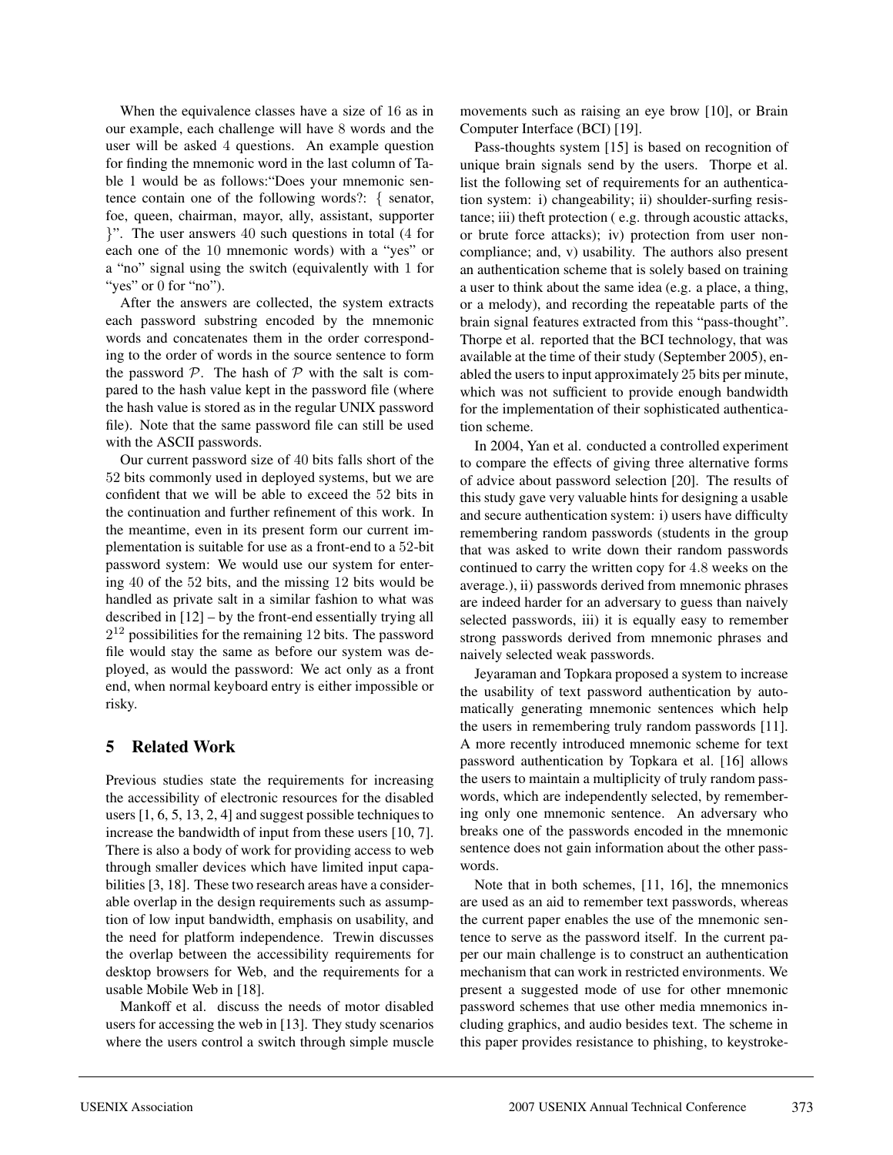When the equivalence classes have a size of 16 as in our example, each challenge will have 8 words and the user will be asked 4 questions. An example question for finding the mnemonic word in the last column of Table 1 would be as follows:"Does your mnemonic sentence contain one of the following words?: { senator, foe, queen, chairman, mayor, ally, assistant, supporter }". The user answers 40 such questions in total (4 for each one of the 10 mnemonic words) with a "yes" or a "no" signal using the switch (equivalently with 1 for "yes" or 0 for "no").

After the answers are collected, the system extracts each password substring encoded by the mnemonic words and concatenates them in the order corresponding to the order of words in the source sentence to form the password  $P$ . The hash of  $P$  with the salt is compared to the hash value kept in the password file (where the hash value is stored as in the regular UNIX password file). Note that the same password file can still be used with the ASCII passwords.

Our current password size of 40 bits falls short of the 52 bits commonly used in deployed systems, but we are confident that we will be able to exceed the 52 bits in the continuation and further refinement of this work. In the meantime, even in its present form our current implementation is suitable for use as a front-end to a 52-bit password system: We would use our system for entering 40 of the 52 bits, and the missing 12 bits would be handled as private salt in a similar fashion to what was described in [12] – by the front-end essentially trying all  $2^{12}$  possibilities for the remaining 12 bits. The password file would stay the same as before our system was deployed, as would the password: We act only as a front end, when normal keyboard entry is either impossible or risky.

# **5 Related Work**

Previous studies state the requirements for increasing the accessibility of electronic resources for the disabled users [1, 6, 5, 13, 2, 4] and suggest possible techniques to increase the bandwidth of input from these users [10, 7]. There is also a body of work for providing access to web through smaller devices which have limited input capabilities [3, 18]. These two research areas have a considerable overlap in the design requirements such as assumption of low input bandwidth, emphasis on usability, and the need for platform independence. Trewin discusses the overlap between the accessibility requirements for desktop browsers for Web, and the requirements for a usable Mobile Web in [18].

Mankoff et al. discuss the needs of motor disabled users for accessing the web in [13]. They study scenarios where the users control a switch through simple muscle

movements such as raising an eye brow [10], or Brain Computer Interface (BCI) [19].

Pass-thoughts system [15] is based on recognition of unique brain signals send by the users. Thorpe et al. list the following set of requirements for an authentication system: i) changeability; ii) shoulder-surfing resistance; iii) theft protection ( e.g. through acoustic attacks, or brute force attacks); iv) protection from user noncompliance; and, v) usability. The authors also present an authentication scheme that is solely based on training a user to think about the same idea (e.g. a place, a thing, or a melody), and recording the repeatable parts of the brain signal features extracted from this "pass-thought". Thorpe et al. reported that the BCI technology, that was available at the time of their study (September 2005), enabled the users to input approximately 25 bits per minute, which was not sufficient to provide enough bandwidth for the implementation of their sophisticated authentication scheme.

In 2004, Yan et al. conducted a controlled experiment to compare the effects of giving three alternative forms of advice about password selection [20]. The results of this study gave very valuable hints for designing a usable and secure authentication system: i) users have difficulty remembering random passwords (students in the group that was asked to write down their random passwords continued to carry the written copy for 4.8 weeks on the average.), ii) passwords derived from mnemonic phrases are indeed harder for an adversary to guess than naively selected passwords, iii) it is equally easy to remember strong passwords derived from mnemonic phrases and naively selected weak passwords.

Jeyaraman and Topkara proposed a system to increase the usability of text password authentication by automatically generating mnemonic sentences which help the users in remembering truly random passwords [11]. A more recently introduced mnemonic scheme for text password authentication by Topkara et al. [16] allows the users to maintain a multiplicity of truly random passwords, which are independently selected, by remembering only one mnemonic sentence. An adversary who breaks one of the passwords encoded in the mnemonic sentence does not gain information about the other passwords.

Note that in both schemes, [11, 16], the mnemonics are used as an aid to remember text passwords, whereas the current paper enables the use of the mnemonic sentence to serve as the password itself. In the current paper our main challenge is to construct an authentication mechanism that can work in restricted environments. We present a suggested mode of use for other mnemonic password schemes that use other media mnemonics including graphics, and audio besides text. The scheme in this paper provides resistance to phishing, to keystroke-